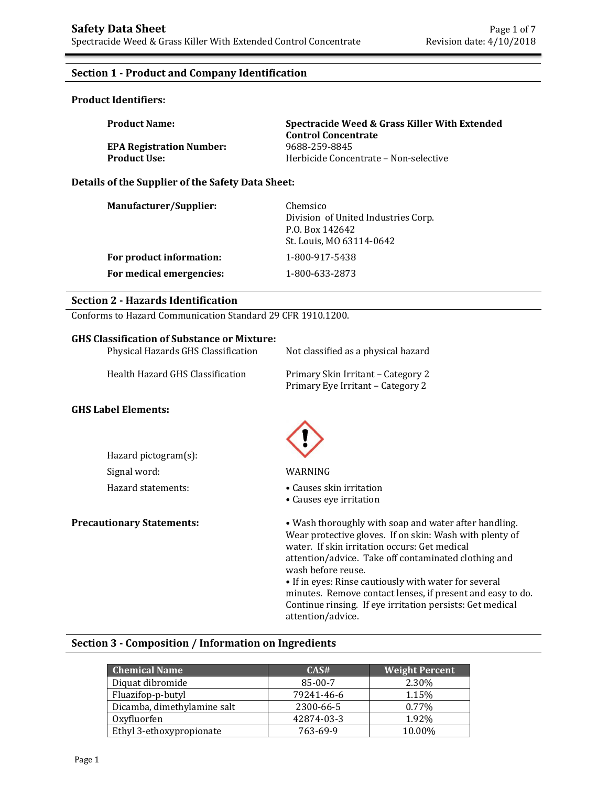## **Section 1 - Product and Company Identification**

#### **Product Identifiers:**

| <b>Product Name:</b>            | Spectracide Weed & Grass Killer With Extended<br><b>Control Concentrate</b> |
|---------------------------------|-----------------------------------------------------------------------------|
| <b>EPA Registration Number:</b> | 9688-259-8845                                                               |
| <b>Product Use:</b>             | Herbicide Concentrate - Non-selective                                       |

#### **Details of the Supplier of the Safety Data Sheet:**

| <b>Manufacturer/Supplier:</b> | Chemsico<br>Division of United Industries Corp.<br>P.O. Box 142642<br>St. Louis, MO 63114-0642 |
|-------------------------------|------------------------------------------------------------------------------------------------|
| For product information:      | 1-800-917-5438                                                                                 |
| For medical emergencies:      | 1-800-633-2873                                                                                 |

#### **Section 2 - Hazards Identification**

Conforms to Hazard Communication Standard 29 CFR 1910.1200.

#### **GHS Classification of Substance or Mixture:**

| Physical Hazards GHS Classification | Not classified as a physical hazard                                     |
|-------------------------------------|-------------------------------------------------------------------------|
| Health Hazard GHS Classification    | Primary Skin Irritant - Category 2<br>Primary Eye Irritant - Category 2 |
| <b>GHS Label Elements:</b>          |                                                                         |
| Hazard pictogram(s):                |                                                                         |

Signal word: WARNING

- Hazard statements: • Causes skin irritation
	- Causes eye irritation

**Precautionary Statements:** • Wash thoroughly with soap and water after handling. Wear protective gloves. If on skin: Wash with plenty of water. If skin irritation occurs: Get medical attention/advice. Take off contaminated clothing and wash before reuse.

• If in eyes: Rinse cautiously with water for several minutes. Remove contact lenses, if present and easy to do. Continue rinsing. If eye irritation persists: Get medical attention/advice.

#### **Section 3 - Composition / Information on Ingredients**

| <b>Chemical Name</b>        | CAS#       | <b>Weight Percent</b> |
|-----------------------------|------------|-----------------------|
| Diquat dibromide            | $85-00-7$  | 2.30%                 |
| Fluazifop-p-butyl           | 79241-46-6 | 1.15%                 |
| Dicamba, dimethylamine salt | 2300-66-5  | 0.77%                 |
| Oxyfluorfen                 | 42874-03-3 | 1.92%                 |
| Ethyl 3-ethoxypropionate    | 763-69-9   | 10.00%                |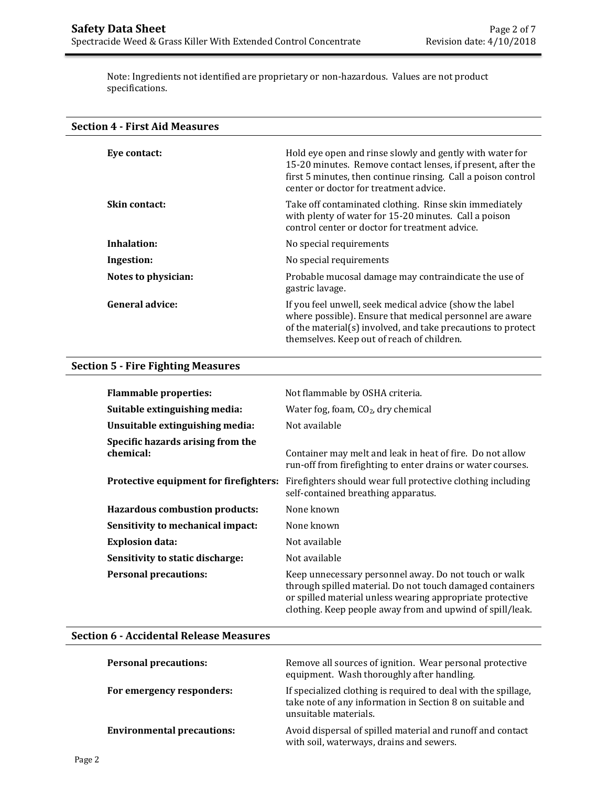Note: Ingredients not identified are proprietary or non-hazardous. Values are not product specifications.

| <b>Section 4 - First Aid Measures</b> |                                                                                                                                                                                                                                    |
|---------------------------------------|------------------------------------------------------------------------------------------------------------------------------------------------------------------------------------------------------------------------------------|
| Eye contact:                          | Hold eye open and rinse slowly and gently with water for<br>15-20 minutes. Remove contact lenses, if present, after the<br>first 5 minutes, then continue rinsing. Call a poison control<br>center or doctor for treatment advice. |
| Skin contact:                         | Take off contaminated clothing. Rinse skin immediately<br>with plenty of water for 15-20 minutes. Call a poison<br>control center or doctor for treatment advice.                                                                  |
| Inhalation:                           | No special requirements                                                                                                                                                                                                            |
| Ingestion:                            | No special requirements                                                                                                                                                                                                            |
| Notes to physician:                   | Probable mucosal damage may contraindicate the use of<br>gastric lavage.                                                                                                                                                           |
| <b>General advice:</b>                | If you feel unwell, seek medical advice (show the label<br>where possible). Ensure that medical personnel are aware<br>of the material(s) involved, and take precautions to protect<br>themselves. Keep out of reach of children.  |

# **Section 5 - Fire Fighting Measures**

| <b>Flammable properties:</b>                   | Not flammable by OSHA criteria.                                                                                                                                                                                                              |
|------------------------------------------------|----------------------------------------------------------------------------------------------------------------------------------------------------------------------------------------------------------------------------------------------|
| Suitable extinguishing media:                  | Water fog, foam, $CO2$ , dry chemical                                                                                                                                                                                                        |
| Unsuitable extinguishing media:                | Not available                                                                                                                                                                                                                                |
| Specific hazards arising from the<br>chemical: | Container may melt and leak in heat of fire. Do not allow<br>run-off from firefighting to enter drains or water courses.                                                                                                                     |
| Protective equipment for firefighters:         | Firefighters should wear full protective clothing including<br>self-contained breathing apparatus.                                                                                                                                           |
| Hazardous combustion products:                 | None known                                                                                                                                                                                                                                   |
| Sensitivity to mechanical impact:              | None known                                                                                                                                                                                                                                   |
| <b>Explosion data:</b>                         | Not available                                                                                                                                                                                                                                |
| Sensitivity to static discharge:               | Not available                                                                                                                                                                                                                                |
| <b>Personal precautions:</b>                   | Keep unnecessary personnel away. Do not touch or walk<br>through spilled material. Do not touch damaged containers<br>or spilled material unless wearing appropriate protective<br>clothing. Keep people away from and upwind of spill/leak. |

## **Section 6 - Accidental Release Measures**

| <b>Personal precautions:</b>      | Remove all sources of ignition. Wear personal protective<br>equipment. Wash thoroughly after handling.                                               |
|-----------------------------------|------------------------------------------------------------------------------------------------------------------------------------------------------|
| For emergency responders:         | If specialized clothing is required to deal with the spillage,<br>take note of any information in Section 8 on suitable and<br>unsuitable materials. |
| <b>Environmental precautions:</b> | Avoid dispersal of spilled material and runoff and contact<br>with soil, waterways, drains and sewers.                                               |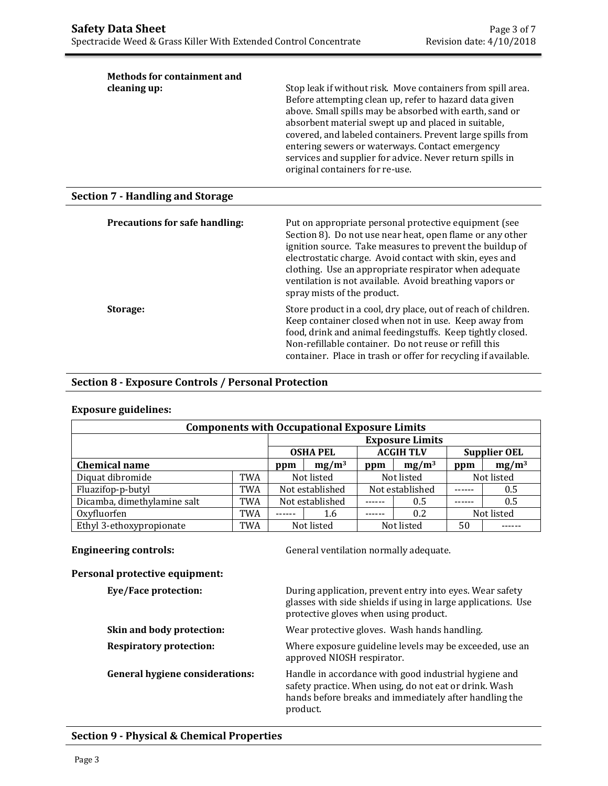| <b>Methods for containment and</b><br>cleaning up: | Stop leak if without risk. Move containers from spill area.<br>Before attempting clean up, refer to hazard data given<br>above. Small spills may be absorbed with earth, sand or<br>absorbent material swept up and placed in suitable,<br>covered, and labeled containers. Prevent large spills from<br>entering sewers or waterways. Contact emergency<br>services and supplier for advice. Never return spills in<br>original containers for re-use. |
|----------------------------------------------------|---------------------------------------------------------------------------------------------------------------------------------------------------------------------------------------------------------------------------------------------------------------------------------------------------------------------------------------------------------------------------------------------------------------------------------------------------------|
| <b>Section 7 - Handling and Storage</b>            |                                                                                                                                                                                                                                                                                                                                                                                                                                                         |
| Precautions for safe handling:                     | Put on appropriate personal protective equipment (see<br>Section 8). Do not use near heat, open flame or any other<br>ignition source. Take measures to prevent the buildup of<br>electrostatic charge. Avoid contact with skin, eyes and<br>clothing. Use an appropriate respirator when adequate<br>ventilation is not available. Avoid breathing vapors or<br>spray mists of the product.                                                            |
| Storage:                                           | Store product in a cool, dry place, out of reach of children.<br>Keep container closed when not in use. Keep away from<br>food, drink and animal feedingstuffs. Keep tightly closed.<br>Non-refillable container. Do not reuse or refill this<br>container. Place in trash or offer for recycling if available.                                                                                                                                         |

#### **Section 8 - Exposure Controls / Personal Protection**

# **Exposure guidelines:**

| <b>Components with Occupational Exposure Limits</b> |            |                        |            |            |                  |            |                     |
|-----------------------------------------------------|------------|------------------------|------------|------------|------------------|------------|---------------------|
|                                                     |            | <b>Exposure Limits</b> |            |            |                  |            |                     |
|                                                     |            | <b>OSHA PEL</b>        |            |            | <b>ACGIH TLV</b> |            | <b>Supplier OEL</b> |
| <b>Chemical name</b>                                |            | $mg/m^3$<br>ppm        |            | ppm        | $mg/m^3$         | ppm        | $mg/m^3$            |
| Diquat dibromide                                    | <b>TWA</b> | Not listed             |            | Not listed |                  | Not listed |                     |
| Fluazifop-p-butyl                                   | <b>TWA</b> | Not established        |            |            | Not established  |            | 0.5                 |
| Dicamba, dimethylamine salt                         | <b>TWA</b> | Not established        |            |            | 0.5              |            | 0.5                 |
| Oxyfluorfen                                         | <b>TWA</b> |                        | 1.6        |            | 0.2              |            | Not listed          |
| Ethyl 3-ethoxypropionate                            | <b>TWA</b> |                        | Not listed |            | Not listed       | 50         |                     |

**Engineering controls:** General ventilation normally adequate.

#### **Personal protective equipment:**

| Eye/Face protection:                   | During application, prevent entry into eyes. Wear safety<br>glasses with side shields if using in large applications. Use<br>protective gloves when using product.                    |
|----------------------------------------|---------------------------------------------------------------------------------------------------------------------------------------------------------------------------------------|
| Skin and body protection:              | Wear protective gloves. Wash hands handling.                                                                                                                                          |
| <b>Respiratory protection:</b>         | Where exposure guideline levels may be exceeded, use an<br>approved NIOSH respirator.                                                                                                 |
| <b>General hygiene considerations:</b> | Handle in accordance with good industrial hygiene and<br>safety practice. When using, do not eat or drink. Wash<br>hands before breaks and immediately after handling the<br>product. |

### **Section 9 - Physical & Chemical Properties**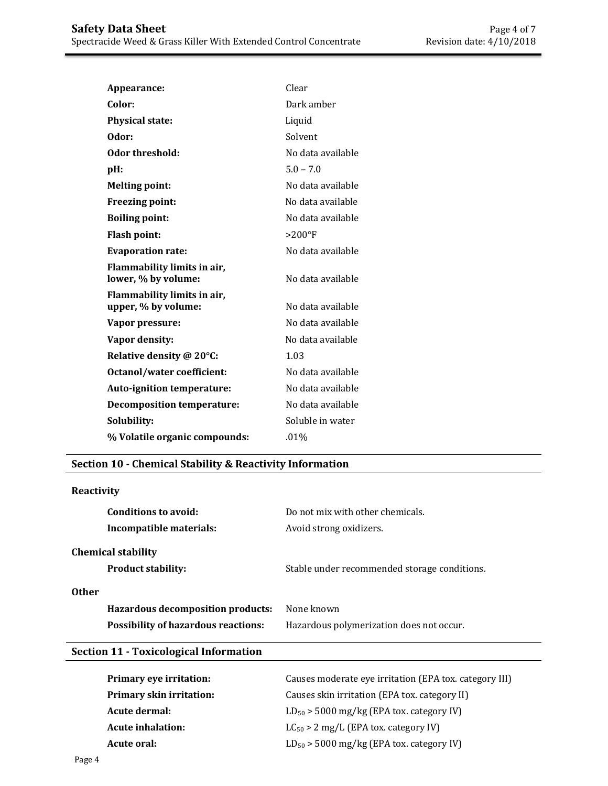| Appearance:                                        | Clear             |
|----------------------------------------------------|-------------------|
| Color:                                             | Dark amber        |
| <b>Physical state:</b>                             | Liquid            |
| Odor:                                              | Solvent           |
| Odor threshold:                                    | No data available |
| pH:                                                | $5.0 - 7.0$       |
| <b>Melting point:</b>                              | No data available |
| <b>Freezing point:</b>                             | No data available |
| <b>Boiling point:</b>                              | No data available |
| <b>Flash point:</b>                                | $>200^{\circ}$ F  |
| <b>Evaporation rate:</b>                           | No data available |
| Flammability limits in air,<br>lower, % by volume: | No data available |
| Flammability limits in air,<br>upper, % by volume: | No data available |
| Vapor pressure:                                    | No data available |
| Vapor density:                                     | No data available |
| Relative density @ 20°C:                           | 1.03              |
| Octanol/water coefficient:                         | No data available |
| <b>Auto-ignition temperature:</b>                  | No data available |
| <b>Decomposition temperature:</b>                  | No data available |
| Solubility:                                        | Soluble in water  |
| % Volatile organic compounds:                      | $.01\%$           |

## **Section 10 - Chemical Stability & Reactivity Information**

## **Reactivity**

| Conditions to avoid:<br>Incompatible materials:                                                 | Do not mix with other chemicals.<br>Avoid strong oxidizers. |
|-------------------------------------------------------------------------------------------------|-------------------------------------------------------------|
| <b>Chemical stability</b><br><b>Product stability:</b>                                          | Stable under recommended storage conditions.                |
| <b>Other</b><br>Hazardous decomposition products:<br><b>Possibility of hazardous reactions:</b> | None known<br>Hazardous polymerization does not occur.      |
|                                                                                                 |                                                             |

# **Section 11 - Toxicological Information**

| Primary eye irritation:         | Causes moderate eye irritation (EPA tox. category III) |
|---------------------------------|--------------------------------------------------------|
| <b>Primary skin irritation:</b> | Causes skin irritation (EPA tox. category II)          |
| Acute dermal:                   | $LD_{50}$ > 5000 mg/kg (EPA tox. category IV)          |
| <b>Acute inhalation:</b>        | $LC_{50} > 2$ mg/L (EPA tox. category IV)              |
| Acute oral:                     | $LD_{50}$ > 5000 mg/kg (EPA tox. category IV)          |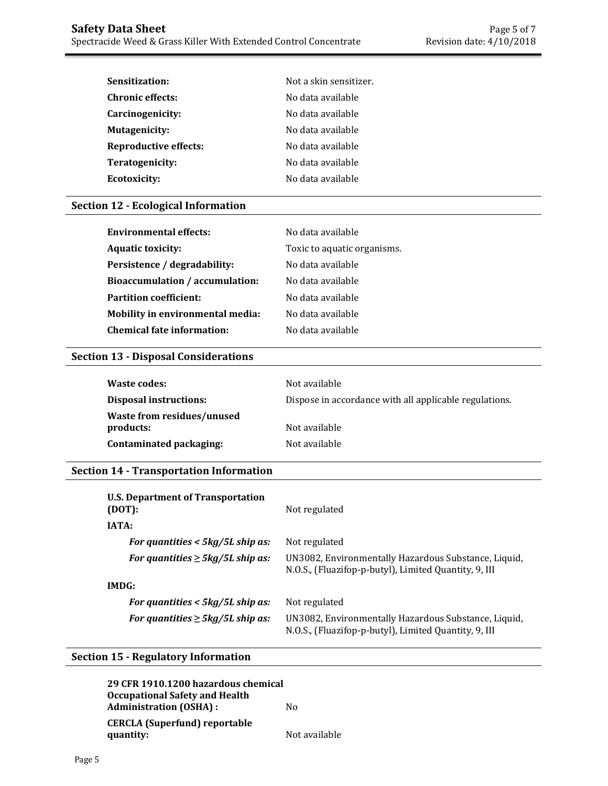| Sensitization:               | Not a skin sensitizer. |
|------------------------------|------------------------|
| <b>Chronic effects:</b>      | No data available      |
| Carcinogenicity:             | No data available      |
| Mutagenicity:                | No data available      |
| <b>Reproductive effects:</b> | No data available      |
| Teratogenicity:              | No data available      |
| <b>Ecotoxicity:</b>          | No data available      |

# **Section 12 - Ecological Information**

| <b>Environmental effects:</b>           | No data available           |
|-----------------------------------------|-----------------------------|
| <b>Aquatic toxicity:</b>                | Toxic to aquatic organisms. |
| Persistence / degradability:            | No data available           |
| <b>Bioaccumulation / accumulation:</b>  | No data available           |
| <b>Partition coefficient:</b>           | No data available           |
| <b>Mobility in environmental media:</b> | No data available           |
| <b>Chemical fate information:</b>       | No data available           |

#### **Section 13 - Disposal Considerations**

| Waste codes:                            | Not available                                          |
|-----------------------------------------|--------------------------------------------------------|
| <b>Disposal instructions:</b>           | Dispose in accordance with all applicable regulations. |
| Waste from residues/unused<br>products: | Not available                                          |
| Contaminated packaging:                 | Not available                                          |

# **Section 14 - Transportation Information**

| <b>U.S. Department of Transportation</b><br>(DOT): | Not regulated                                                                                                 |
|----------------------------------------------------|---------------------------------------------------------------------------------------------------------------|
| <b>IATA:</b>                                       |                                                                                                               |
| For quantities $<$ 5kg/5L ship as:                 | Not regulated                                                                                                 |
| For quantities $\geq 5$ kg/5L ship as:             | UN3082, Environmentally Hazardous Substance, Liquid,<br>N.O.S., (Fluazifop-p-butyl), Limited Quantity, 9, III |
| IMDG:                                              |                                                                                                               |
| For quantities $<$ 5kg/5L ship as:                 | Not regulated                                                                                                 |
| For quantities $\geq 5$ kg/5L ship as:             | UN3082, Environmentally Hazardous Substance, Liquid,<br>N.O.S., (Fluazifop-p-butyl), Limited Quantity, 9, III |

# **Section 15 - Regulatory Information**

| 29 CFR 1910.1200 hazardous chemical<br><b>Occupational Safety and Health</b> |               |
|------------------------------------------------------------------------------|---------------|
| <b>Administration (OSHA):</b>                                                | Nο            |
| <b>CERCLA</b> (Superfund) reportable<br>quantity:                            | Not available |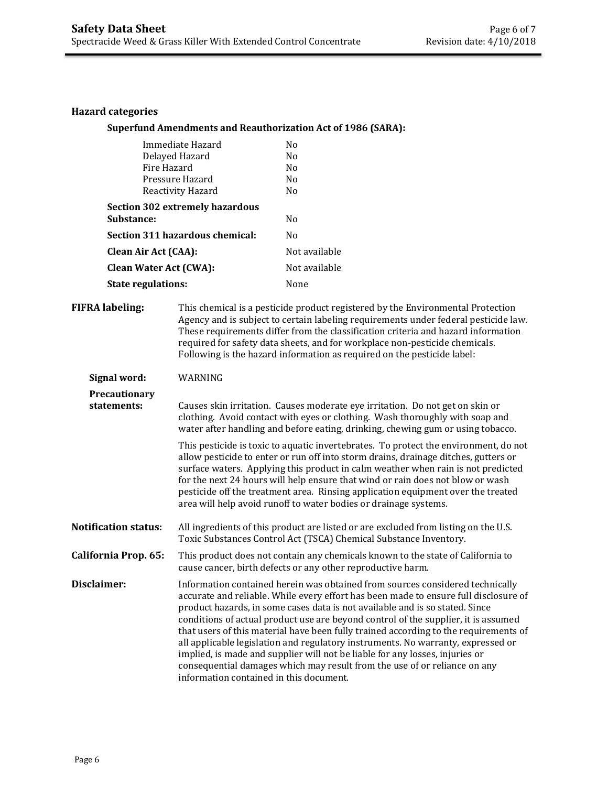#### **Hazard categories**

#### **Superfund Amendments and Reauthorization Act of 1986 (SARA):**

| Immediate Hazard                | No             |
|---------------------------------|----------------|
| Delayed Hazard                  | N <sub>0</sub> |
| Fire Hazard                     | No             |
| Pressure Hazard                 | No             |
| Reactivity Hazard               | No             |
| Section 302 extremely hazardous |                |
| <b>Substance:</b>               | No             |
| Section 311 hazardous chemical: | No             |
| <b>Clean Air Act (CAA):</b>     | Not available  |
| <b>Clean Water Act (CWA):</b>   | Not available  |
| <b>State regulations:</b>       | None           |

**FIFRA labeling:** This chemical is a pesticide product registered by the Environmental Protection Agency and is subject to certain labeling requirements under federal pesticide law. These requirements differ from the classification criteria and hazard information required for safety data sheets, and for workplace non-pesticide chemicals. Following is the hazard information as required on the pesticide label:

**Signal word:** WARNING

**Precautionary statements:** Causes skin irritation. Causes moderate eye irritation. Do not get on skin or clothing. Avoid contact with eyes or clothing. Wash thoroughly with soap and water after handling and before eating, drinking, chewing gum or using tobacco.

> This pesticide is toxic to aquatic invertebrates. To protect the environment, do not allow pesticide to enter or run off into storm drains, drainage ditches, gutters or surface waters. Applying this product in calm weather when rain is not predicted for the next 24 hours will help ensure that wind or rain does not blow or wash pesticide off the treatment area. Rinsing application equipment over the treated area will help avoid runoff to water bodies or drainage systems.

**Notification status:** All ingredients of this product are listed or are excluded from listing on the U.S. Toxic Substances Control Act (TSCA) Chemical Substance Inventory.

**California Prop. 65:** This product does not contain any chemicals known to the state of California to cause cancer, birth defects or any other reproductive harm.

**Disclaimer:** Information contained herein was obtained from sources considered technically accurate and reliable. While every effort has been made to ensure full disclosure of product hazards, in some cases data is not available and is so stated. Since conditions of actual product use are beyond control of the supplier, it is assumed that users of this material have been fully trained according to the requirements of all applicable legislation and regulatory instruments. No warranty, expressed or implied, is made and supplier will not be liable for any losses, injuries or consequential damages which may result from the use of or reliance on any information contained in this document.